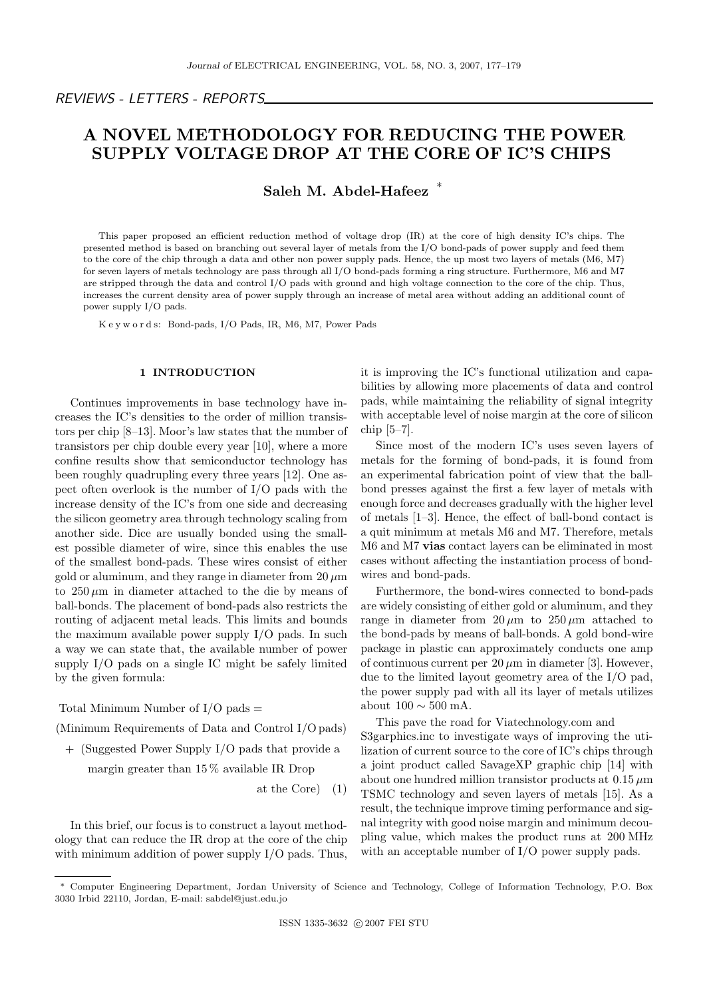# A NOVEL METHODOLOGY FOR REDUCING THE POWER SUPPLY VOLTAGE DROP AT THE CORE OF IC'S CHIPS

## Saleh M. Abdel-Hafeez <sup>\*</sup>

This paper proposed an efficient reduction method of voltage drop (IR) at the core of high density IC's chips. The presented method is based on branching out several layer of metals from the I/O bond-pads of power supply and feed them to the core of the chip through a data and other non power supply pads. Hence, the up most two layers of metals (M6, M7) for seven layers of metals technology are pass through all I/O bond-pads forming a ring structure. Furthermore, M6 and M7 are stripped through the data and control I/O pads with ground and high voltage connection to the core of the chip. Thus, increases the current density area of power supply through an increase of metal area without adding an additional count of power supply I/O pads.

K e y w o r d s: Bond-pads, I/O Pads, IR, M6, M7, Power Pads

### 1 INTRODUCTION

Continues improvements in base technology have increases the IC's densities to the order of million transistors per chip [8–13]. Moor's law states that the number of transistors per chip double every year [10], where a more confine results show that semiconductor technology has been roughly quadrupling every three years [12]. One aspect often overlook is the number of I/O pads with the increase density of the IC's from one side and decreasing the silicon geometry area through technology scaling from another side. Dice are usually bonded using the smallest possible diameter of wire, since this enables the use of the smallest bond-pads. These wires consist of either gold or aluminum, and they range in diameter from  $20 \mu m$ to  $250 \mu m$  in diameter attached to the die by means of ball-bonds. The placement of bond-pads also restricts the routing of adjacent metal leads. This limits and bounds the maximum available power supply I/O pads. In such a way we can state that, the available number of power supply I/O pads on a single IC might be safely limited by the given formula:

Total Minimum Number of  $I/O$  pads  $=$ 

(Minimum Requirements of Data and Control I/O pads)

+ (Suggested Power Supply I/O pads that provide a

margin greater than 15 % available IR Drop

at the Core) (1)

In this brief, our focus is to construct a layout methodology that can reduce the IR drop at the core of the chip with minimum addition of power supply I/O pads. Thus, it is improving the IC's functional utilization and capabilities by allowing more placements of data and control pads, while maintaining the reliability of signal integrity with acceptable level of noise margin at the core of silicon chip [5–7].

Since most of the modern IC's uses seven layers of metals for the forming of bond-pads, it is found from an experimental fabrication point of view that the ballbond presses against the first a few layer of metals with enough force and decreases gradually with the higher level of metals [1–3]. Hence, the effect of ball-bond contact is a quit minimum at metals M6 and M7. Therefore, metals M6 and M7 vias contact layers can be eliminated in most cases without affecting the instantiation process of bondwires and bond-pads.

Furthermore, the bond-wires connected to bond-pads are widely consisting of either gold or aluminum, and they range in diameter from  $20 \mu m$  to  $250 \mu m$  attached to the bond-pads by means of ball-bonds. A gold bond-wire package in plastic can approximately conducts one amp of continuous current per  $20 \mu m$  in diameter [3]. However, due to the limited layout geometry area of the I/O pad, the power supply pad with all its layer of metals utilizes about  $100 \sim 500$  mA.

This pave the road for Viatechnology.com and S3garphics.inc to investigate ways of improving the utilization of current source to the core of IC's chips through a joint product called SavageXP graphic chip [14] with about one hundred million transistor products at  $0.15 \mu m$ TSMC technology and seven layers of metals [15]. As a result, the technique improve timing performance and signal integrity with good noise margin and minimum decoupling value, which makes the product runs at 200 MHz with an acceptable number of I/O power supply pads.

<sup>∗</sup> Computer Engineering Department, Jordan University of Science and Technology, College of Information Technology, P.O. Box 3030 Irbid 22110, Jordan, E-mail: sabdel@just.edu.jo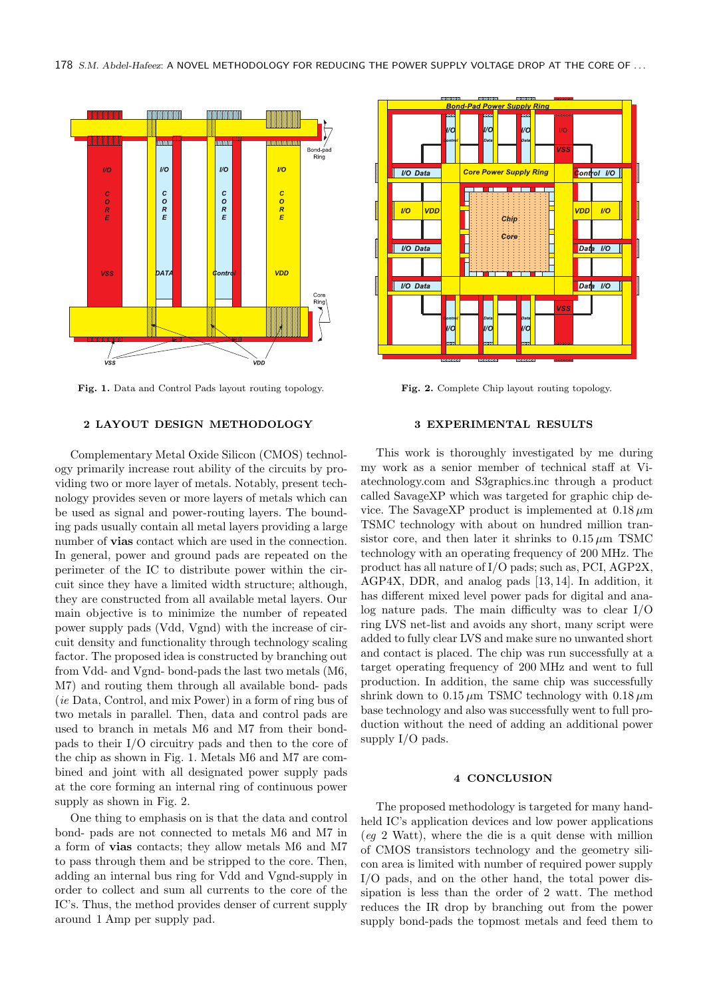

Fig. 1. Data and Control Pads layout routing topology. Fig. 2. Complete Chip layout routing topology.

#### 2 LAYOUT DESIGN METHODOLOGY

Complementary Metal Oxide Silicon (CMOS) technology primarily increase rout ability of the circuits by providing two or more layer of metals. Notably, present technology provides seven or more layers of metals which can be used as signal and power-routing layers. The bounding pads usually contain all metal layers providing a large number of **vias** contact which are used in the connection. In general, power and ground pads are repeated on the perimeter of the IC to distribute power within the circuit since they have a limited width structure; although, they are constructed from all available metal layers. Our main objective is to minimize the number of repeated power supply pads (Vdd, Vgnd) with the increase of circuit density and functionality through technology scaling factor. The proposed idea is constructed by branching out from Vdd- and Vgnd- bond-pads the last two metals (M6, M7) and routing them through all available bond- pads (ie Data, Control, and mix Power) in a form of ring bus of two metals in parallel. Then, data and control pads are used to branch in metals M6 and M7 from their bondpads to their I/O circuitry pads and then to the core of the chip as shown in Fig. 1. Metals M6 and M7 are combined and joint with all designated power supply pads at the core forming an internal ring of continuous power supply as shown in Fig. 2.

One thing to emphasis on is that the data and control bond- pads are not connected to metals M6 and M7 in a form of vias contacts; they allow metals M6 and M7 to pass through them and be stripped to the core. Then, adding an internal bus ring for Vdd and Vgnd-supply in order to collect and sum all currents to the core of the IC's. Thus, the method provides denser of current supply around 1 Amp per supply pad.



#### 3 EXPERIMENTAL RESULTS

This work is thoroughly investigated by me during my work as a senior member of technical staff at Viatechnology.com and S3graphics.inc through a product called SavageXP which was targeted for graphic chip device. The SavageXP product is implemented at  $0.18 \,\mu m$ TSMC technology with about on hundred million transistor core, and then later it shrinks to  $0.15 \mu m$  TSMC technology with an operating frequency of 200 MHz. The product has all nature of I/O pads; such as, PCI, AGP2X, AGP4X, DDR, and analog pads [13, 14]. In addition, it has different mixed level power pads for digital and analog nature pads. The main difficulty was to clear I/O ring LVS net-list and avoids any short, many script were added to fully clear LVS and make sure no unwanted short and contact is placed. The chip was run successfully at a target operating frequency of 200 MHz and went to full production. In addition, the same chip was successfully shrink down to  $0.15 \mu m$  TSMC technology with  $0.18 \mu m$ base technology and also was successfully went to full production without the need of adding an additional power supply I/O pads.

#### 4 CONCLUSION

The proposed methodology is targeted for many handheld IC's application devices and low power applications (eg 2 Watt), where the die is a quit dense with million of CMOS transistors technology and the geometry silicon area is limited with number of required power supply I/O pads, and on the other hand, the total power dissipation is less than the order of 2 watt. The method reduces the IR drop by branching out from the power supply bond-pads the topmost metals and feed them to